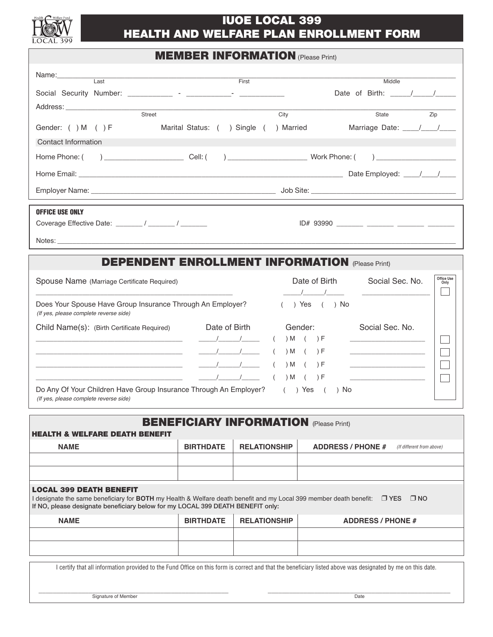

# **IUOE LOCAL 399 HEALTH AND WELFARE PLAN ENROLLMENT FORM**

## **MEMBER INFORMATION** (Please Print)

| Name:__________<br>Last                                                                                                                                                                                                                           |                  | First                                  | Middle                                                             |  |  |
|---------------------------------------------------------------------------------------------------------------------------------------------------------------------------------------------------------------------------------------------------|------------------|----------------------------------------|--------------------------------------------------------------------|--|--|
|                                                                                                                                                                                                                                                   |                  |                                        | Date of Birth: $\frac{1}{\sqrt{2}}$                                |  |  |
| Street                                                                                                                                                                                                                                            |                  | City                                   | Zip<br>State                                                       |  |  |
| Gender: ( ) M ( ) F                                                                                                                                                                                                                               |                  | Marital Status: ( ) Single ( ) Married | Marriage Date: /////                                               |  |  |
| Contact Information                                                                                                                                                                                                                               |                  |                                        |                                                                    |  |  |
| and the Cell: (and Cell: (b) and Cell: (b) and Cell: (b) and Cell: (b) and Cell: (c) and Cell: (c) and Cell: (<br>Home Phone: (<br>$\begin{array}{c} \hline \end{array}$                                                                          |                  |                                        |                                                                    |  |  |
|                                                                                                                                                                                                                                                   |                  |                                        |                                                                    |  |  |
|                                                                                                                                                                                                                                                   |                  |                                        |                                                                    |  |  |
|                                                                                                                                                                                                                                                   |                  |                                        |                                                                    |  |  |
| <b>OFFICE USE ONLY</b>                                                                                                                                                                                                                            |                  |                                        |                                                                    |  |  |
|                                                                                                                                                                                                                                                   |                  |                                        | ID# 93990 _______ ______ ______ _______ _______                    |  |  |
|                                                                                                                                                                                                                                                   |                  |                                        |                                                                    |  |  |
|                                                                                                                                                                                                                                                   |                  |                                        | <b>DEPENDENT ENROLLMENT INFORMATION (Please Print)</b>             |  |  |
|                                                                                                                                                                                                                                                   |                  |                                        | Office Use                                                         |  |  |
| Spouse Name (Marriage Certificate Required)                                                                                                                                                                                                       |                  |                                        | Social Sec. No.<br>Date of Birth<br>Only                           |  |  |
| Does Your Spouse Have Group Insurance Through An Employer?<br>(If yes, please complete reverse side)                                                                                                                                              |                  |                                        | $( )$ Yes $( )$ No                                                 |  |  |
| Child Name(s): (Birth Certificate Required)                                                                                                                                                                                                       | Date of Birth    |                                        | Social Sec. No.<br>Gender:                                         |  |  |
|                                                                                                                                                                                                                                                   |                  | $\sqrt{2}$                             | $) M$ ( $) F$<br>the control of the control of the control of      |  |  |
| the control of the control of the control of the control of the control of the control of                                                                                                                                                         | $\sqrt{1}$       |                                        | $) M$ ( $) F$<br>the control of the control of the control of      |  |  |
| the control of the control of the control of the control of the control of the control of                                                                                                                                                         |                  |                                        | $) M$ $( ) F$<br><u> 1990 - Johann Barbara, martxa al</u>          |  |  |
|                                                                                                                                                                                                                                                   | $\sqrt{1}$       |                                        | $) M$ ( $) F$<br>the company of the company of the company<br>) No |  |  |
| Do Any Of Your Children Have Group Insurance Through An Employer?<br>$( )$ Yes $($<br>(If yes, please complete reverse side)                                                                                                                      |                  |                                        |                                                                    |  |  |
| <b>BENEFICIARY INFORMATION (Please Print)</b>                                                                                                                                                                                                     |                  |                                        |                                                                    |  |  |
| <b>HEALTH &amp; WELFARE DEATH BENEFIT</b>                                                                                                                                                                                                         |                  |                                        |                                                                    |  |  |
| <b>NAME</b>                                                                                                                                                                                                                                       | <b>BIRTHDATE</b> | <b>RELATIONSHIP</b>                    | <b>ADDRESS / PHONE #</b><br>(If different from above)              |  |  |
|                                                                                                                                                                                                                                                   |                  |                                        |                                                                    |  |  |
|                                                                                                                                                                                                                                                   |                  |                                        |                                                                    |  |  |
| <b>LOCAL 399 DEATH BENEFIT</b><br>I designate the same beneficiary for BOTH my Health & Welfare death benefit and my Local 399 member death benefit: □ YES □ NO<br>If NO, please designate beneficiary below for my LOCAL 399 DEATH BENEFIT only: |                  |                                        |                                                                    |  |  |
| <b>NAME</b>                                                                                                                                                                                                                                       | <b>BIRTHDATE</b> | <b>RELATIONSHIP</b>                    | <b>ADDRESS / PHONE #</b>                                           |  |  |
|                                                                                                                                                                                                                                                   |                  |                                        |                                                                    |  |  |
|                                                                                                                                                                                                                                                   |                  |                                        |                                                                    |  |  |
|                                                                                                                                                                                                                                                   |                  |                                        |                                                                    |  |  |
| I certify that all information provided to the Fund Office on this form is correct and that the beneficiary listed above was designated by me on this date.                                                                                       |                  |                                        |                                                                    |  |  |

\_\_\_\_\_\_\_\_\_\_\_\_\_\_\_\_\_\_\_\_\_\_\_\_\_\_\_\_\_\_\_\_\_\_\_\_\_\_\_\_\_\_\_\_\_\_\_\_\_\_\_\_\_ \_\_\_\_\_\_\_\_\_\_\_\_\_\_\_\_\_\_\_\_\_\_\_\_\_\_\_\_\_\_\_\_\_\_\_\_\_\_\_\_\_\_\_\_\_\_\_\_\_\_\_ Signature of Member Date